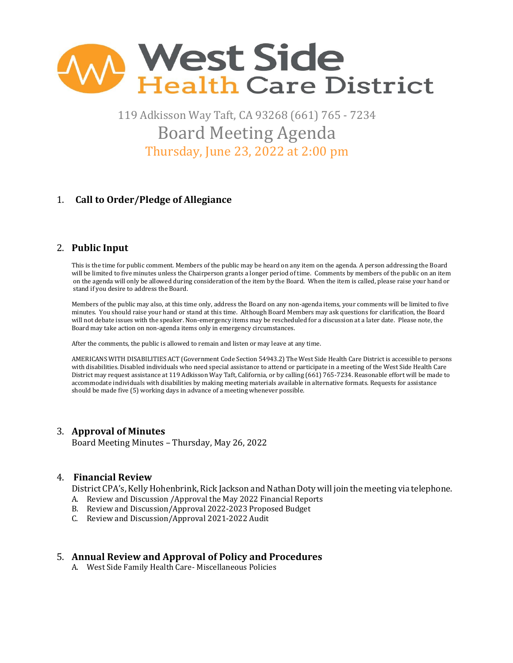

119 Adkisson Way Taft, CA 93268 (661) 765 - 7234 Board Meeting Agenda Thursday, June 23, 2022 at 2:00 pm

# 1. **Call to Order/Pledge of Allegiance**

# 2. **Public Input**

 This is the time for public comment. Members of the public may be heard on any item on the agenda. A person addressing the Board will be limited to five minutes unless the Chairperson grants a longer period of time. Comments by members of the public on an item on the agenda will only be allowed during consideration of the item by the Board. When the item is called, please raise your hand or stand if you desire to address the Board.

Members of the public may also, at this time only, address the Board on any non-agenda items, your comments will be limited to five minutes. You should raise your hand or stand at this time. Although Board Members may ask questions for clarification, the Board will not debate issues with the speaker. Non-emergency items may be rescheduled for a discussion at a later date. Please note, the Board may take action on non-agenda items only in emergency circumstances.

After the comments, the public is allowed to remain and listen or may leave at any time.

 AMERICANS WITH DISABILITIES ACT (Government Code Section 54943.2) The West Side Health Care District is accessible to persons with disabilities. Disabled individuals who need special assistance to attend or participate in a meeting of the West Side Health Care District may request assistance at 119 Adkisson Way Taft, California, or by calling (661) 765-7234. Reasonable effort will be made to accommodate individuals with disabilities by making meeting materials available in alternative formats. Requests for assistance should be made five (5) working days in advance of a meeting whenever possible.

### 3. **Approval of Minutes**

Board Meeting Minutes – Thursday, May 26, 2022

### 4. **Financial Review**

District CPA's, Kelly Hohenbrink, Rick Jackson and Nathan Doty will join the meeting via telephone.

- A. Review and Discussion /Approval the May 2022 Financial Reports
- B. Review and Discussion/Approval 2022-2023 Proposed Budget
- C. Review and Discussion/Approval 2021-2022 Audit

### 5. **Annual Review and Approval of Policy and Procedures**

A. West Side Family Health Care- Miscellaneous Policies